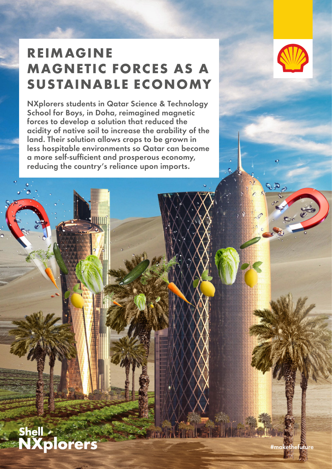# **REIMAGINE MAGNETIC FORCES AS A SUSTAINABLE ECONOMY**

NXplorers students in Qatar Science & Technology School for Boys, in Doha, reimagined magnetic forces to develop a solution that reduced the acidity of native soil to increase the arability of the land. Their solution allows crops to be grown in less hospitable environments so Qatar can become a more self-sufficient and prosperous economy, reducing the country's reliance upon imports.



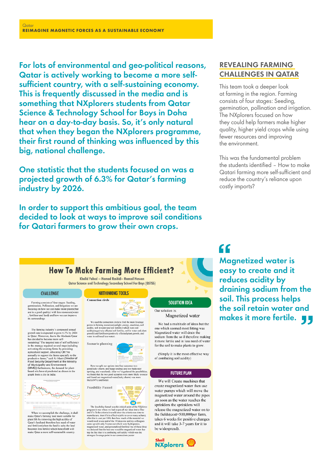For lots of environmental and geo-political reasons, Qatar is actively working to become a more selfsufficient country, with a self-sustaining economy. This is frequently discussed in the media and is something that NXplorers students from Qatar Science & Technology School for Boys in Doha hear on a day-to-day basis. So, it's only natural that when they began the NXplorers programme, their first round of thinking was influenced by this big, national challenge.

One statistic that the students focused on was a projected growth of 6.3% for Qatar's farming industry by 2026.

In order to support this ambitious goal, the team decided to look at ways to improve soil conditions for Qatari farmers to grow their own crops.

#### REVEALING FARMING CHALLENGES IN QATAR

This team took a deeper look at farming in the region. Farming consists of four stages: Seeding, germination, pollination and irrigation. The NXplorers focused on how they could help farmers make higher quality, higher yield crops while using fewer resources and improving the environment.

This was the fundamental problem the students identified – How to make Qatari farming more self-sufficient and reduce the country's reliance upon costly imports?

### **How To Make Farming More Efficient?**

Khalid Fahad - Hamad Rashid- Hamad Hassan Qatar Science and Technology Secondary School For Boys (QSTSS)

#### **CHALLENGE**

Farming consists of four stages: Seeding germination, Pollination, and Irrigation we are focusing on how we can make more plants(that are in a good quality) with less reso rces/water fertilizer and land) and how we can improve its surroundings

The farming industry's compound annual growth rate is expected to grow 6.3% by 2026 in Qatr. Moreover, due to the bockdae Qatar sas decided to become more self-sustaining<br>("The targeted rate of self sufficiency in the str based oils have skyrocketed as shown in the<br>graph from a city in India:



<u>Tananananananananananan</u>

When we accomplish the challenge, it shall make Qatar's farming land more suitable for plant life by removing the high accidy of Qatar's land and therefore less need of water and fertilizer<br>(when the land is salty the lan

#### **NXTHINKING TOOLS**

**Connection** circle

 $\bullet$ è We used the connection circle to find the main leverage points in farming resonects<br>unlight, neergy mechines acidity, soil in water and soli fertility),<br>which were soil explicitly with values and specify (regarding)<br>respe



Here we split our options into four outcomes two<br>good(lucky charm, and happy ending) and two bad(water<br>uprising, and vasaband). After we've gandred the possibilities,<br>we found that the two good scenarios were more likely and found out magnet<br>likely(80%) and bette



The feasibility funnel was the critical point of the *NXphorenon* it was where we had to put all our ideas into a filter and if it fit the critical point of the *NXphorenon in* was there we had to put all our ideas into a

#### Our solution is: Magnetized water We had a multitude of ideas but the

**SOLUTION IDEA** 

one which seemed most fitting was Magnetized water will drain the sodium from the so il therefore making it more fertile and in less need of water for the soil to make plants to grow

(Simply it is the most effective way of combating soil acidity)

#### **FUTURE PLAN**

We will Create machines that create magnetized water then use water pumps which will move the magnetized water around the pipes ,as soon as the water reaches the sprinklers the sprinklers will release the magnetized water on to the fields(cost=500,000per farm, takes 6 weeks for positive changes and it will take 3-7 years for it to be widespread).



## "

Magnetized water is easy to create and it reduces acidity by draining sodium from the soil. This process helps the soil retain water and makes it more fertile.